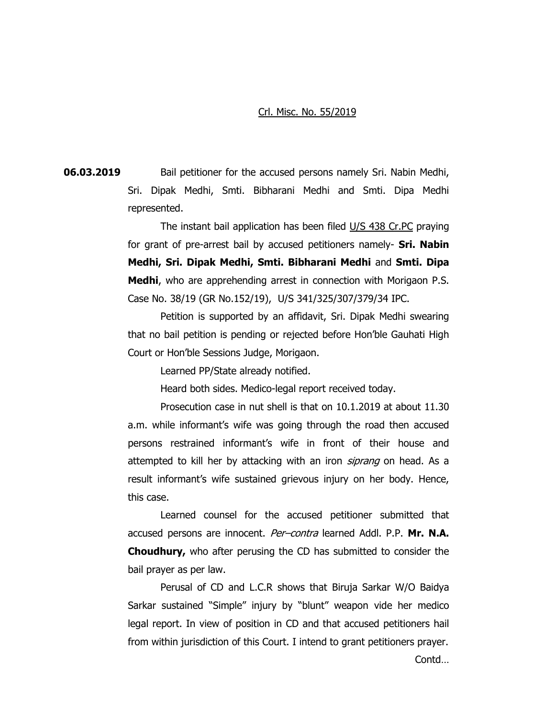## Crl. Misc. No. 55/2019

**06.03.2019** Bail petitioner for the accused persons namely Sri. Nabin Medhi, Sri. Dipak Medhi, Smti. Bibharani Medhi and Smti. Dipa Medhi represented.

> The instant bail application has been filed U/S 438 Cr.PC praying for grant of pre-arrest bail by accused petitioners namely- **Sri. Nabin Medhi, Sri. Dipak Medhi, Smti. Bibharani Medhi** and **Smti. Dipa Medhi**, who are apprehending arrest in connection with Morigaon P.S. Case No. 38/19 (GR No.152/19), U/S 341/325/307/379/34 IPC.

> Petition is supported by an affidavit, Sri. Dipak Medhi swearing that no bail petition is pending or rejected before Hon'ble Gauhati High Court or Hon'ble Sessions Judge, Morigaon.

> > Learned PP/State already notified.

Heard both sides. Medico-legal report received today.

Prosecution case in nut shell is that on 10.1.2019 at about 11.30 a.m. while informant's wife was going through the road then accused persons restrained informant's wife in front of their house and attempted to kill her by attacking with an iron *siprang* on head. As a result informant's wife sustained grievous injury on her body. Hence, this case.

Learned counsel for the accused petitioner submitted that accused persons are innocent. Per–contra learned Addl. P.P. **Mr. N.A. Choudhury,** who after perusing the CD has submitted to consider the bail prayer as per law.

Perusal of CD and L.C.R shows that Biruja Sarkar W/O Baidya Sarkar sustained "Simple" injury by "blunt" weapon vide her medico legal report. In view of position in CD and that accused petitioners hail from within jurisdiction of this Court. I intend to grant petitioners prayer.

Contd…